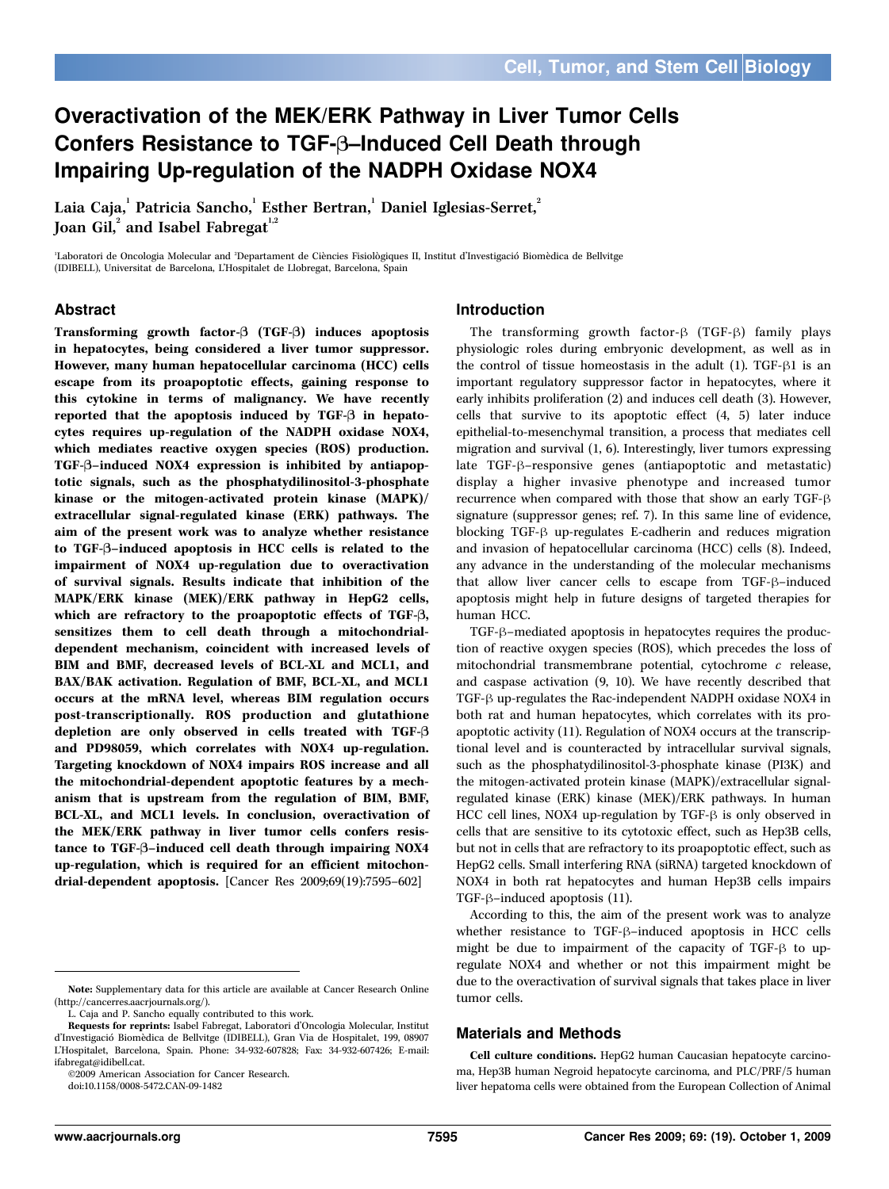# Overactivation of the MEK/ERK Pathway in Liver Tumor Cells Confers Resistance to TGF- $\beta$ –Induced Cell Death through Impairing Up-regulation of the NADPH Oxidase NOX4

Laia Caja, <sup>1</sup> Patricia Sancho, <sup>1</sup> Esther Bertran, <sup>1</sup> Daniel Iglesias-Serret, <sup>2</sup> Joan Gil, $^{\rm 2}$  and Isabel Fabregat $^{\rm 1,2}$ 

'Laboratori de Oncologia Molecular and 'Departament de Ciències Fisiològiques II, Institut d'Investigació Biomèdica de Bellvitge (IDIBELL), Universitat de Barcelona, L'Hospitalet de Llobregat, Barcelona, Spain

## Abstract

Transforming growth factor- $\beta$  (TGF- $\beta$ ) induces apoptosis in hepatocytes, being considered a liver tumor suppressor. However, many human hepatocellular carcinoma (HCC) cells escape from its proapoptotic effects, gaining response to this cytokine in terms of malignancy. We have recently reported that the apoptosis induced by TGF-B in hepatocytes requires up-regulation of the NADPH oxidase NOX4, which mediates reactive oxygen species (ROS) production. TGF-B–induced NOX4 expression is inhibited by antiapoptotic signals, such as the phosphatydilinositol-3-phosphate kinase or the mitogen-activated protein kinase (MAPK)/ extracellular signal-regulated kinase (ERK) pathways. The aim of the present workwas to analyze whether resistance to TGF-B–induced apoptosis in HCC cells is related to the impairment of NOX4 up-regulation due to overactivation of survival signals. Results indicate that inhibition of the MAPK/ERK kinase (MEK)/ERK pathway in HepG2 cells, which are refractory to the proapoptotic effects of TGF- $\beta$ , sensitizes them to cell death through a mitochondrialdependent mechanism, coincident with increased levels of BIM and BMF, decreased levels of BCL-XL and MCL1, and BAX/BAK activation. Regulation of BMF, BCL-XL, and MCL1 occurs at the mRNA level, whereas BIM regulation occurs post-transcriptionally. ROS production and glutathione depletion are only observed in cells treated with TGF-B and PD98059, which correlates with NOX4 up-regulation. Targeting knockdown of NOX4 impairs ROS increase and all the mitochondrial-dependent apoptotic features by a mechanism that is upstream from the regulation of BIM, BMF, BCL-XL, and MCL1 levels. In conclusion, overactivation of the MEK/ERK pathway in liver tumor cells confers resistance to TGF-B–induced cell death through impairing NOX4 up-regulation, which is required for an efficient mitochondrial-dependent apoptosis. [Cancer Res 2009;69(19):7595–602]

I2009 American Association for Cancer Research.

doi:10.1158/0008-5472.CAN-09-1482

## Introduction

The transforming growth factor- $\beta$  (TGF- $\beta$ ) family plays physiologic roles during embryonic development, as well as in the control of tissue homeostasis in the adult  $(1)$ . TGF- $\beta$ 1 is an important regulatory suppressor factor in hepatocytes, where it early inhibits proliferation (2) and induces cell death (3). However, cells that survive to its apoptotic effect (4, 5) later induce epithelial-to-mesenchymal transition, a process that mediates cell migration and survival (1, 6). Interestingly, liver tumors expressing late  $TGF-\beta$ -responsive genes (antiapoptotic and metastatic) display a higher invasive phenotype and increased tumor recurrence when compared with those that show an early TGF- $\beta$ signature (suppressor genes; ref. 7). In this same line of evidence, blocking  $TGF- $\beta$  up-regulates E-cadherin and reduces migration$ and invasion of hepatocellular carcinoma (HCC) cells (8). Indeed, any advance in the understanding of the molecular mechanisms that allow liver cancer cells to escape from TGF- $\beta$ –induced apoptosis might help in future designs of targeted therapies for human HCC.

TGF- $\beta$ -mediated apoptosis in hepatocytes requires the production of reactive oxygen species (ROS), which precedes the loss of mitochondrial transmembrane potential, cytochrome c release, and caspase activation (9, 10). We have recently described that TGF- $\beta$  up-regulates the Rac-independent NADPH oxidase NOX4 in both rat and human hepatocytes, which correlates with its proapoptotic activity (11). Regulation of NOX4 occurs at the transcriptional level and is counteracted by intracellular survival signals, such as the phosphatydilinositol-3-phosphate kinase (PI3K) and the mitogen-activated protein kinase (MAPK)/extracellular signalregulated kinase (ERK) kinase (MEK)/ERK pathways. In human HCC cell lines, NOX4 up-regulation by TGF- $\beta$  is only observed in cells that are sensitive to its cytotoxic effect, such as Hep3B cells, but not in cells that are refractory to its proapoptotic effect, such as HepG2 cells. Small interfering RNA (siRNA) targeted knockdown of NOX4 in both rat hepatocytes and human Hep3B cells impairs TGF- $\beta$ –induced apoptosis (11).

According to this, the aim of the present work was to analyze whether resistance to TGF- $\beta$ –induced apoptosis in HCC cells might be due to impairment of the capacity of  $TGF- $\beta$  to up$ regulate NOX4 and whether or not this impairment might be due to the overactivation of survival signals that takes place in liver tumor cells.

#### Materials and Methods

Cell culture conditions. HepG2 human Caucasian hepatocyte carcinoma, Hep3B human Negroid hepatocyte carcinoma, and PLC/PRF/5 human liver hepatoma cells were obtained from the European Collection of Animal

Note: Supplementary data for this article are available at Cancer Research Online (http://cancerres.aacrjournals.org/).

L. Caja and P. Sancho equally contributed to this work.

Requests for reprints: Isabel Fabregat, Laboratori d'Oncologia Molecular, Institut d'Investigació Biomèdica de Bellvitge (IDIBELL), Gran Via de Hospitalet, 199, 08907 L'Hospitalet, Barcelona, Spain. Phone: 34-932-607828; Fax: 34-932-607426; E-mail: ifabregat@idibell.cat.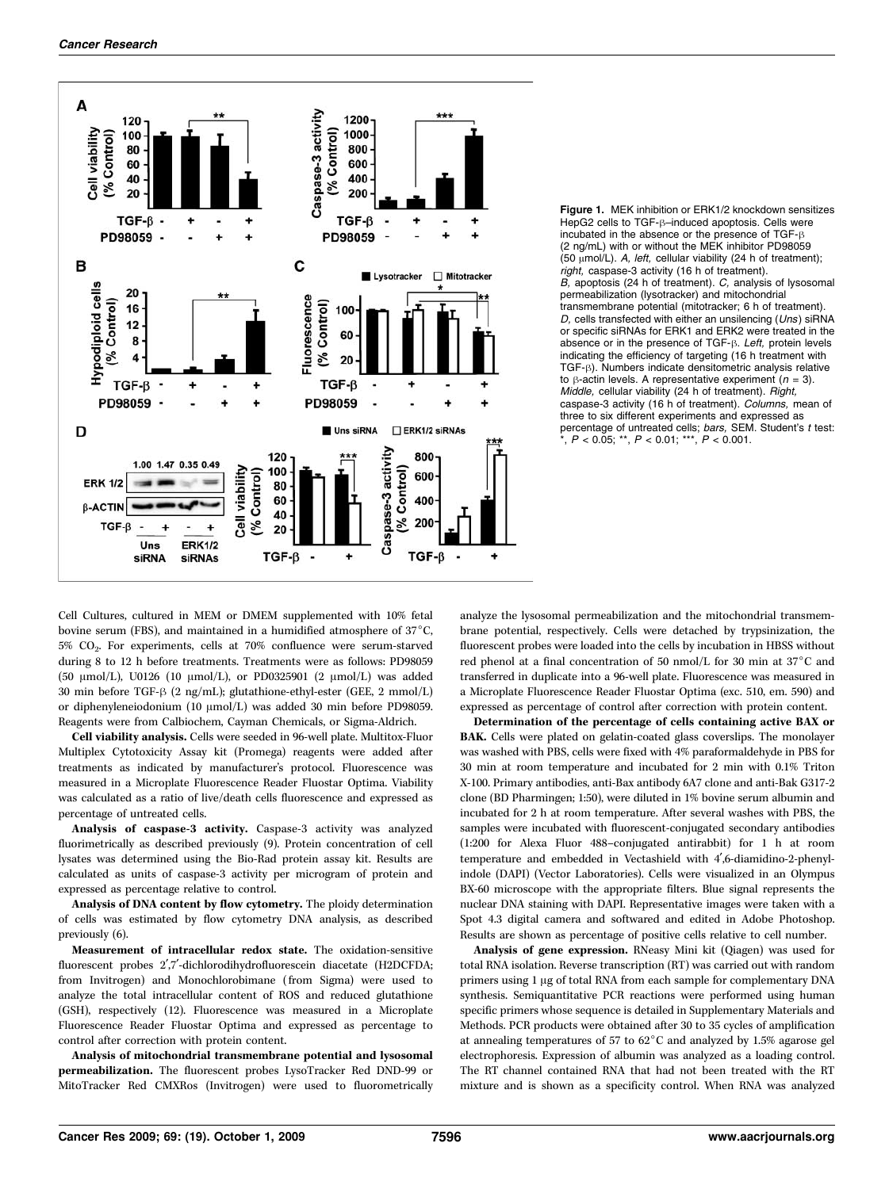



Cell Cultures, cultured in MEM or DMEM supplemented with 10% fetal bovine serum (FBS), and maintained in a humidified atmosphere of  $37^{\circ}$ C, 5% CO2. For experiments, cells at 70% confluence were serum-starved during 8 to 12 h before treatments. Treatments were as follows: PD98059 (50  $\mu$ mol/L), U0126 (10  $\mu$ mol/L), or PD0325901 (2  $\mu$ mol/L) was added 30 min before TGF- $\beta$  (2 ng/mL); glutathione-ethyl-ester (GEE, 2 mmol/L) or diphenyleneiodonium (10  $\mu$ mol/L) was added 30 min before PD98059. Reagents were from Calbiochem, Cayman Chemicals, or Sigma-Aldrich.

Cell viability analysis. Cells were seeded in 96-well plate. Multitox-Fluor Multiplex Cytotoxicity Assay kit (Promega) reagents were added after treatments as indicated by manufacturer's protocol. Fluorescence was measured in a Microplate Fluorescence Reader Fluostar Optima. Viability was calculated as a ratio of live/death cells fluorescence and expressed as percentage of untreated cells.

Analysis of caspase-3 activity. Caspase-3 activity was analyzed fluorimetrically as described previously (9). Protein concentration of cell lysates was determined using the Bio-Rad protein assay kit. Results are calculated as units of caspase-3 activity per microgram of protein and expressed as percentage relative to control.

Analysis of DNA content by flow cytometry. The ploidy determination of cells was estimated by flow cytometry DNA analysis, as described previously (6).

Measurement of intracellular redox state. The oxidation-sensitive fluorescent probes 2',7'-dichlorodihydrofluorescein diacetate (H2DCFDA; from Invitrogen) and Monochlorobimane (from Sigma) were used to analyze the total intracellular content of ROS and reduced glutathione (GSH), respectively (12). Fluorescence was measured in a Microplate Fluorescence Reader Fluostar Optima and expressed as percentage to control after correction with protein content.

Analysis of mitochondrial transmembrane potential and lysosomal permeabilization. The fluorescent probes LysoTracker Red DND-99 or MitoTracker Red CMXRos (Invitrogen) were used to fluorometrically

analyze the lysosomal permeabilization and the mitochondrial transmembrane potential, respectively. Cells were detached by trypsinization, the fluorescent probes were loaded into the cells by incubation in HBSS without red phenol at a final concentration of 50 nmol/L for 30 min at 37 $^{\circ}$ C and transferred in duplicate into a 96-well plate. Fluorescence was measured in a Microplate Fluorescence Reader Fluostar Optima (exc. 510, em. 590) and expressed as percentage of control after correction with protein content.

Determination of the percentage of cells containing active BAX or BAK. Cells were plated on gelatin-coated glass coverslips. The monolayer was washed with PBS, cells were fixed with 4% paraformaldehyde in PBS for 30 min at room temperature and incubated for 2 min with 0.1% Triton X-100. Primary antibodies, anti-Bax antibody 6A7 clone and anti-Bak G317-2 clone (BD Pharmingen; 1:50), were diluted in 1% bovine serum albumin and incubated for 2 h at room temperature. After several washes with PBS, the samples were incubated with fluorescent-conjugated secondary antibodies (1:200 for Alexa Fluor 488–conjugated antirabbit) for 1 h at room temperature and embedded in Vectashield with 4',6-diamidino-2-phenylindole (DAPI) (Vector Laboratories). Cells were visualized in an Olympus BX-60 microscope with the appropriate filters. Blue signal represents the nuclear DNA staining with DAPI. Representative images were taken with a Spot 4.3 digital camera and softwared and edited in Adobe Photoshop. Results are shown as percentage of positive cells relative to cell number.

Analysis of gene expression. RNeasy Mini kit (Qiagen) was used for total RNA isolation. Reverse transcription (RT) was carried out with random primers using 1 µg of total RNA from each sample for complementary DNA synthesis. Semiquantitative PCR reactions were performed using human specific primers whose sequence is detailed in Supplementary Materials and Methods. PCR products were obtained after 30 to 35 cycles of amplification at annealing temperatures of 57 to  $62^{\circ}$ C and analyzed by 1.5% agarose gel electrophoresis. Expression of albumin was analyzed as a loading control. The RT channel contained RNA that had not been treated with the RT mixture and is shown as a specificity control. When RNA was analyzed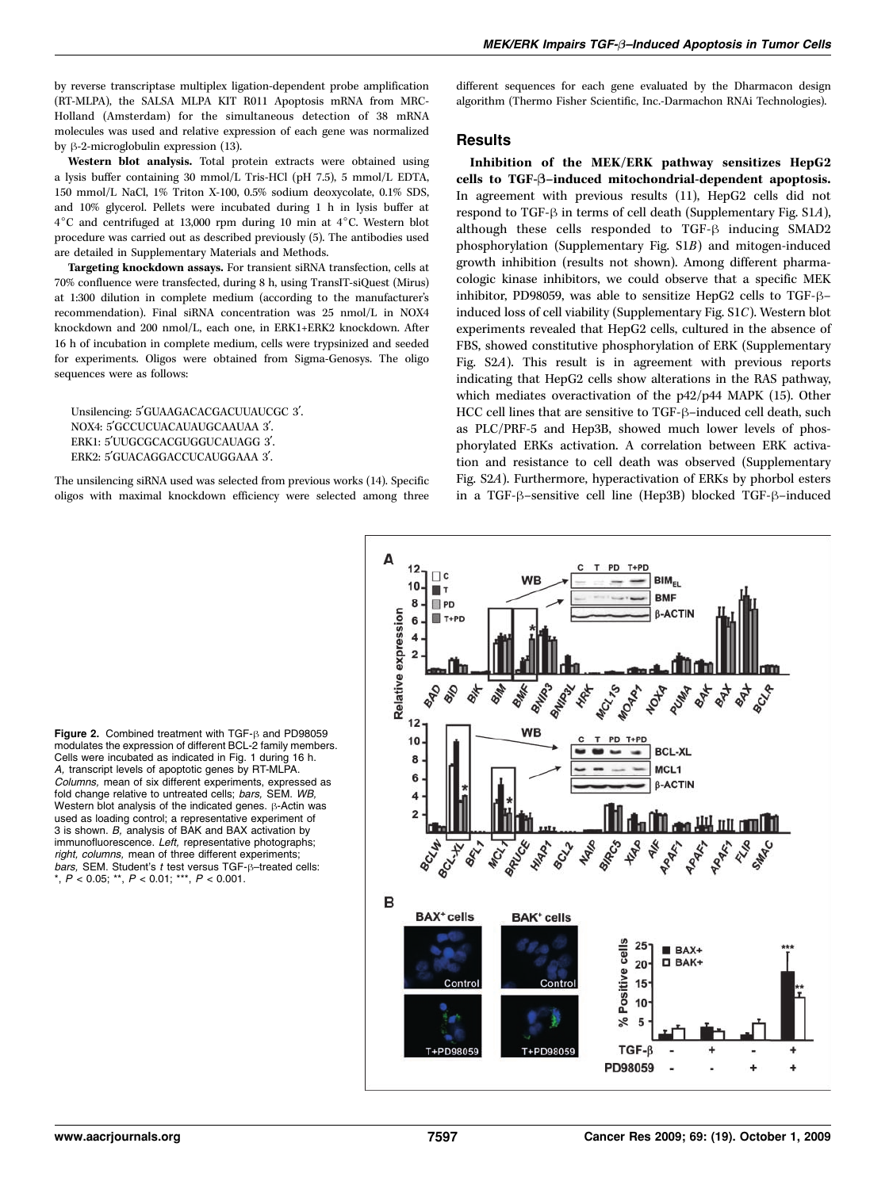by reverse transcriptase multiplex ligation-dependent probe amplification (RT-MLPA), the SALSA MLPA KIT R011 Apoptosis mRNA from MRC-Holland (Amsterdam) for the simultaneous detection of 38 mRNA molecules was used and relative expression of each gene was normalized by  $\beta$ -2-microglobulin expression (13).

Western blot analysis. Total protein extracts were obtained using a lysis buffer containing 30 mmol/L Tris-HCl (pH 7.5), 5 mmol/L EDTA, 150 mmol/L NaCl, 1% Triton X-100, 0.5% sodium deoxycolate, 0.1% SDS, and 10% glycerol. Pellets were incubated during 1 h in lysis buffer at  $4^{\circ}$ C and centrifuged at 13,000 rpm during 10 min at  $4^{\circ}$ C. Western blot procedure was carried out as described previously (5). The antibodies used are detailed in Supplementary Materials and Methods.

Targeting knockdown assays. For transient siRNA transfection, cells at 70% confluence were transfected, during 8 h, using TransIT-siQuest (Mirus) at 1:300 dilution in complete medium (according to the manufacturer's recommendation). Final siRNA concentration was 25 nmol/L in NOX4 knockdown and 200 nmol/L, each one, in ERK1+ERK2 knockdown. After 16 h of incubation in complete medium, cells were trypsinized and seeded for experiments. Oligos were obtained from Sigma-Genosys. The oligo sequences were as follows:

Unsilencing: 5'GUAAGACACGACUUAUCGC 3'. NOX4: 5'GCCUCUACAUAUGCAAUAA 3'. ERK1: 5'UUGCGCACGUGGUCAUAGG 3'. ERK2: 5'GUACAGGACCUCAUGGAAA 3'.

The unsilencing siRNA used was selected from previous works (14). Specific oligos with maximal knockdown efficiency were selected among three different sequences for each gene evaluated by the Dharmacon design algorithm (Thermo Fisher Scientific, Inc.-Darmachon RNAi Technologies).

## **Results**

Inhibition of the MEK/ERK pathway sensitizes HepG2 cells to TGF-B–induced mitochondrial-dependent apoptosis. In agreement with previous results (11), HepG2 cells did not respond to TGF- $\beta$  in terms of cell death (Supplementary Fig. S1A), although these cells responded to TGF- $\beta$  inducing SMAD2 phosphorylation (Supplementary Fig. S1B) and mitogen-induced growth inhibition (results not shown). Among different pharmacologic kinase inhibitors, we could observe that a specific MEK inhibitor, PD98059, was able to sensitize HepG2 cells to TGF- $\beta$ induced loss of cell viability (Supplementary Fig. S1C). Western blot experiments revealed that HepG2 cells, cultured in the absence of FBS, showed constitutive phosphorylation of ERK (Supplementary Fig. S2A). This result is in agreement with previous reports indicating that HepG2 cells show alterations in the RAS pathway, which mediates overactivation of the p42/p44 MAPK (15). Other HCC cell lines that are sensitive to TGF- $\beta$ –induced cell death, such as PLC/PRF-5 and Hep3B, showed much lower levels of phosphorylated ERKs activation. A correlation between ERK activation and resistance to cell death was observed (Supplementary Fig. S2A). Furthermore, hyperactivation of ERKs by phorbol esters in a TGF-ß-sensitive cell line (Hep3B) blocked TGF-ß-induced



Figure 2. Combined treatment with  $TGF-\beta$  and PD98059 modulates the expression of different BCL-2 family members. Cells were incubated as indicated in Fig.1 during 16 h. A, transcript levels of apoptotic genes by RT-MLPA. Columns, mean of six different experiments, expressed as fold change relative to untreated cells; bars, SEM. WB, Western blot analysis of the indicated genes.  $\beta$ -Actin was used as loading control; a representative experiment of 3 is shown. B, analysis of BAK and BAX activation by immunofluorescence. Left, representative photographs; right, columns, mean of three different experiments; bars, SEM. Student's  $t$  test versus TGF- $\beta$ –treated cells:  $k, P < 0.05$ ; \*\*,  $P < 0.01$ ; \*\*\*,  $P < 0.001$ .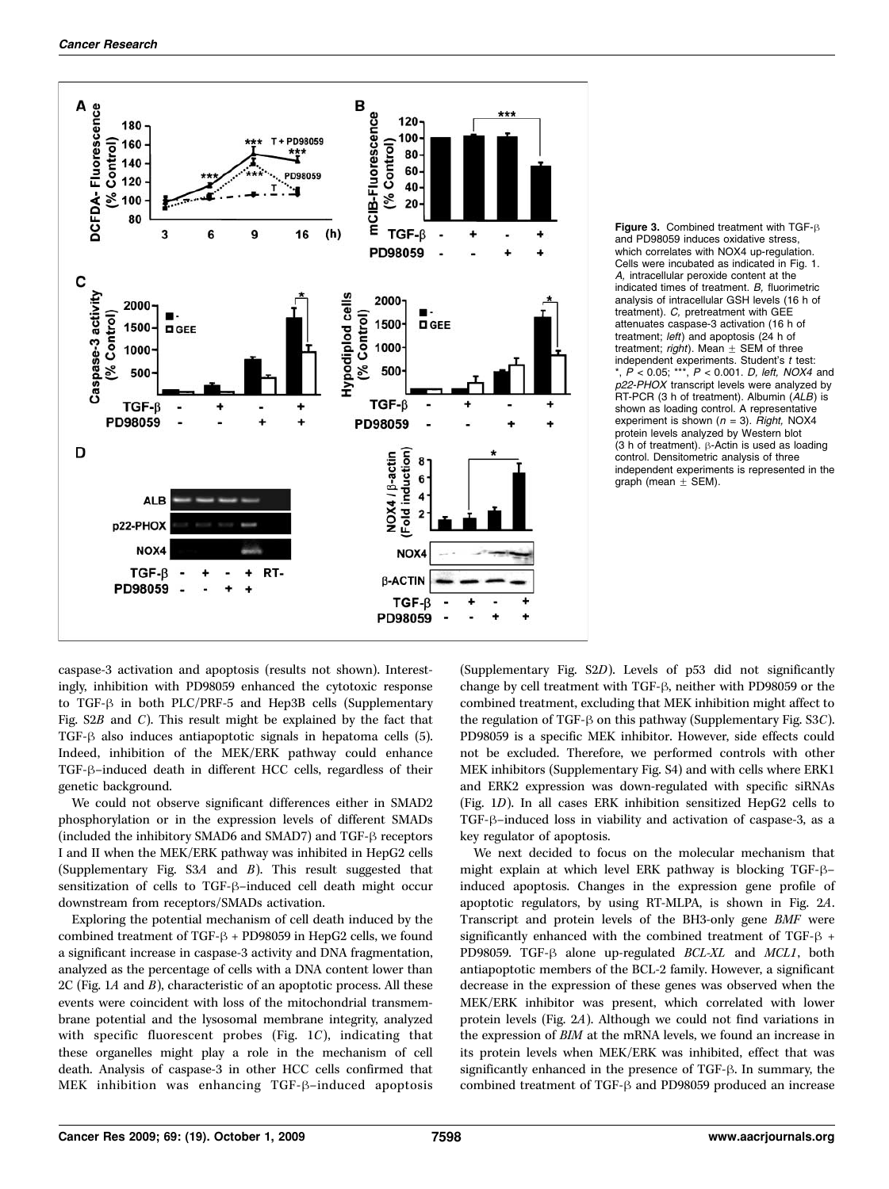



caspase-3 activation and apoptosis (results not shown). Interestingly, inhibition with PD98059 enhanced the cytotoxic response to TGF- $\beta$  in both PLC/PRF-5 and Hep3B cells (Supplementary Fig.  $S2B$  and C). This result might be explained by the fact that TGF- $\beta$  also induces antiapoptotic signals in hepatoma cells (5). Indeed, inhibition of the MEK/ERK pathway could enhance TGF- $\beta$ -induced death in different HCC cells, regardless of their genetic background.

We could not observe significant differences either in SMAD2 phosphorylation or in the expression levels of different SMADs (included the inhibitory SMAD6 and SMAD7) and TGF- $\beta$  receptors I and II when the MEK/ERK pathway was inhibited in HepG2 cells (Supplementary Fig. S3A and B). This result suggested that sensitization of cells to TGF- $\beta$ –induced cell death might occur downstream from receptors/SMADs activation.

Exploring the potential mechanism of cell death induced by the combined treatment of TGF- $\beta$  + PD98059 in HepG2 cells, we found a significant increase in caspase-3 activity and DNA fragmentation, analyzed as the percentage of cells with a DNA content lower than  $2C$  (Fig. 1A and B), characteristic of an apoptotic process. All these events were coincident with loss of the mitochondrial transmembrane potential and the lysosomal membrane integrity, analyzed with specific fluorescent probes (Fig. 1C), indicating that these organelles might play a role in the mechanism of cell death. Analysis of caspase-3 in other HCC cells confirmed that MEK inhibition was enhancing  $TGF- $\beta$ -induced apoptosis$ 

(Supplementary Fig. S2D). Levels of p53 did not significantly change by cell treatment with TGF- $\beta$ , neither with PD98059 or the combined treatment, excluding that MEK inhibition might affect to the regulation of TGF- $\beta$  on this pathway (Supplementary Fig. S3C). PD98059 is a specific MEK inhibitor. However, side effects could not be excluded. Therefore, we performed controls with other MEK inhibitors (Supplementary Fig. S4) and with cells where ERK1 and ERK2 expression was down-regulated with specific siRNAs (Fig. 1D). In all cases ERK inhibition sensitized HepG2 cells to TGF- $\beta$ –induced loss in viability and activation of caspase-3, as a key regulator of apoptosis.

We next decided to focus on the molecular mechanism that might explain at which level ERK pathway is blocking TGF- $\beta$ induced apoptosis. Changes in the expression gene profile of apoptotic regulators, by using RT-MLPA, is shown in Fig. 2A. Transcript and protein levels of the BH3-only gene BMF were significantly enhanced with the combined treatment of TGF- $\beta$  + PD98059. TGF- $\beta$  alone up-regulated BCL-XL and MCL1, both antiapoptotic members of the BCL-2 family. However, a significant decrease in the expression of these genes was observed when the MEK/ERK inhibitor was present, which correlated with lower protein levels (Fig. 2A). Although we could not find variations in the expression of BIM at the mRNA levels, we found an increase in its protein levels when MEK/ERK was inhibited, effect that was significantly enhanced in the presence of  $TGF- $\beta$ . In summary, the$ combined treatment of TGF- $\beta$  and PD98059 produced an increase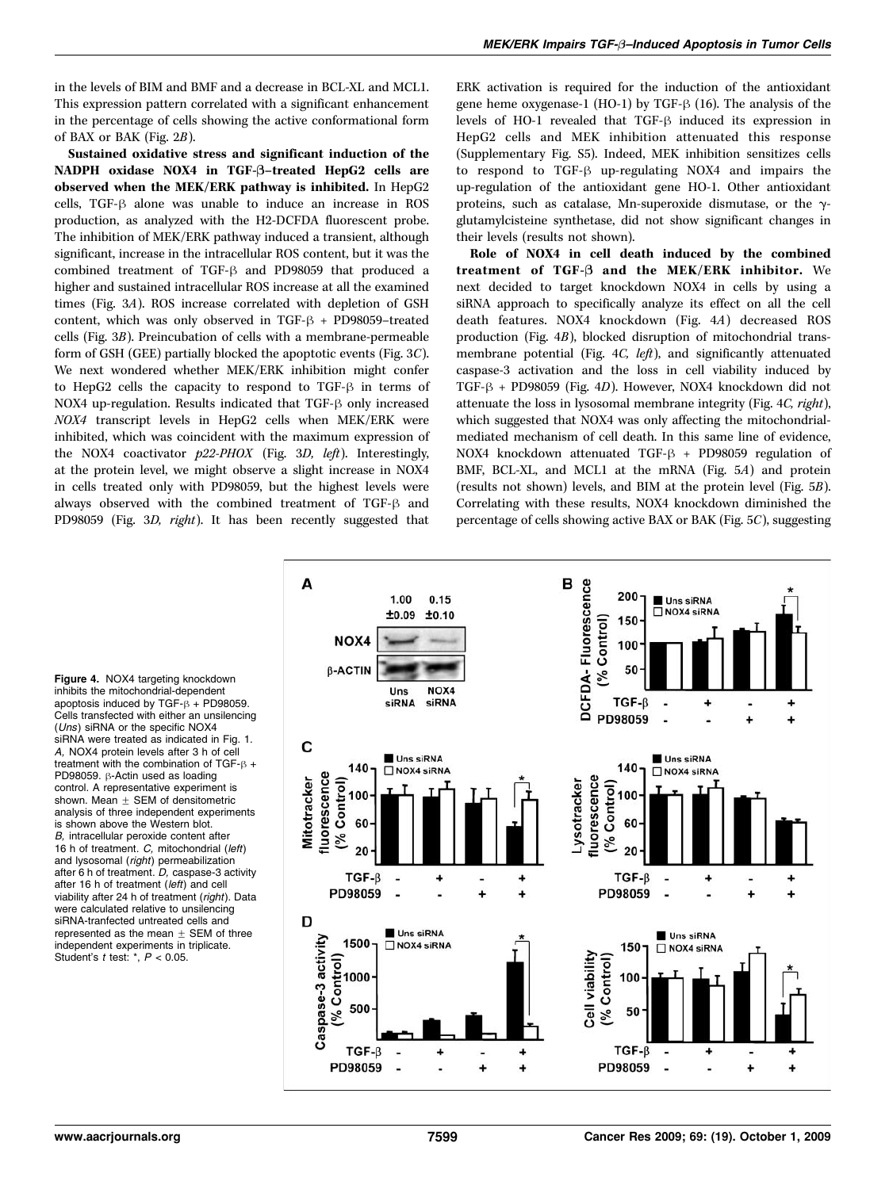in the levels of BIM and BMF and a decrease in BCL-XL and MCL1. This expression pattern correlated with a significant enhancement in the percentage of cells showing the active conformational form of BAX or BAK (Fig. 2B).

Sustained oxidative stress and significant induction of the NADPH oxidase NOX4 in TGF-B–treated HepG2 cells are observed when the MEK/ERK pathway is inhibited. In HepG2 cells, TGF- $\beta$  alone was unable to induce an increase in ROS production, as analyzed with the H2-DCFDA fluorescent probe. The inhibition of MEK/ERK pathway induced a transient, although significant, increase in the intracellular ROS content, but it was the combined treatment of TGF- $\beta$  and PD98059 that produced a higher and sustained intracellular ROS increase at all the examined times (Fig. 3A). ROS increase correlated with depletion of GSH content, which was only observed in TGF- $\beta$  + PD98059-treated cells (Fig. 3B). Preincubation of cells with a membrane-permeable form of GSH (GEE) partially blocked the apoptotic events (Fig. 3C). We next wondered whether MEK/ERK inhibition might confer to HepG2 cells the capacity to respond to TGF- $\beta$  in terms of NOX4 up-regulation. Results indicated that TGF- $\beta$  only increased NOX4 transcript levels in HepG2 cells when MEK/ERK were inhibited, which was coincident with the maximum expression of the NOX4 coactivator  $p22-PHOX$  (Fig. 3D, left). Interestingly, at the protein level, we might observe a slight increase in NOX4 in cells treated only with PD98059, but the highest levels were always observed with the combined treatment of TGF- $\beta$  and PD98059 (Fig. 3D, right). It has been recently suggested that

ERK activation is required for the induction of the antioxidant gene heme oxygenase-1 (HO-1) by TGF- $\beta$  (16). The analysis of the levels of HO-1 revealed that TGF- $\beta$  induced its expression in HepG2 cells and MEK inhibition attenuated this response (Supplementary Fig. S5). Indeed, MEK inhibition sensitizes cells to respond to  $TGF-B$  up-regulating NOX4 and impairs the up-regulation of the antioxidant gene HO-1. Other antioxidant proteins, such as catalase, Mn-superoxide dismutase, or the  $\gamma$ glutamylcisteine synthetase, did not show significant changes in their levels (results not shown).

Role of NOX4 in cell death induced by the combined treatment of TGF-B and the MEK/ERK inhibitor. We next decided to target knockdown NOX4 in cells by using a siRNA approach to specifically analyze its effect on all the cell death features. NOX4 knockdown (Fig. 4A) decreased ROS production (Fig. 4B), blocked disruption of mitochondrial transmembrane potential (Fig. 4C, left), and significantly attenuated caspase-3 activation and the loss in cell viability induced by TGF- $\beta$  + PD98059 (Fig. 4D). However, NOX4 knockdown did not attenuate the loss in lysosomal membrane integrity (Fig. 4C, right), which suggested that NOX4 was only affecting the mitochondrialmediated mechanism of cell death. In this same line of evidence, NOX4 knockdown attenuated TGF- $\beta$  + PD98059 regulation of BMF, BCL-XL, and MCL1 at the mRNA (Fig. 5A) and protein (results not shown) levels, and BIM at the protein level (Fig. 5B). Correlating with these results, NOX4 knockdown diminished the percentage of cells showing active BAX or BAK (Fig. 5C), suggesting

Figure 4. NOX4 targeting knockdown inhibits the mitochondrial-dependent apoptosis induced by TGF- $\beta$  + PD98059. Cells transfected with either an unsilencing (Uns) siRNA or the specific NOX4 siRNA were treated as indicated in Fig.1. A, NOX4 protein levels after 3 h of cell treatment with the combination of TGF- $\beta$  + PD98059.  $\beta$ -Actin used as loading control. A representative experiment is shown. Mean  $\pm$  SEM of densitometric analysis of three independent experiments is shown above the Western blot. B, intracellular peroxide content after 16 h of treatment. C, mitochondrial (left) and lysosomal (right) permeabilization after 6 h of treatment. D, caspase-3 activity after 16 h of treatment (left) and cell viability after 24 h of treatment (right). Data were calculated relative to unsilencing siRNA-tranfected untreated cells and represented as the mean  $\pm$  SEM of three independent experiments in triplicate. Student's  $t$  test:  $\dot{r}$ ,  $P < 0.05$ .

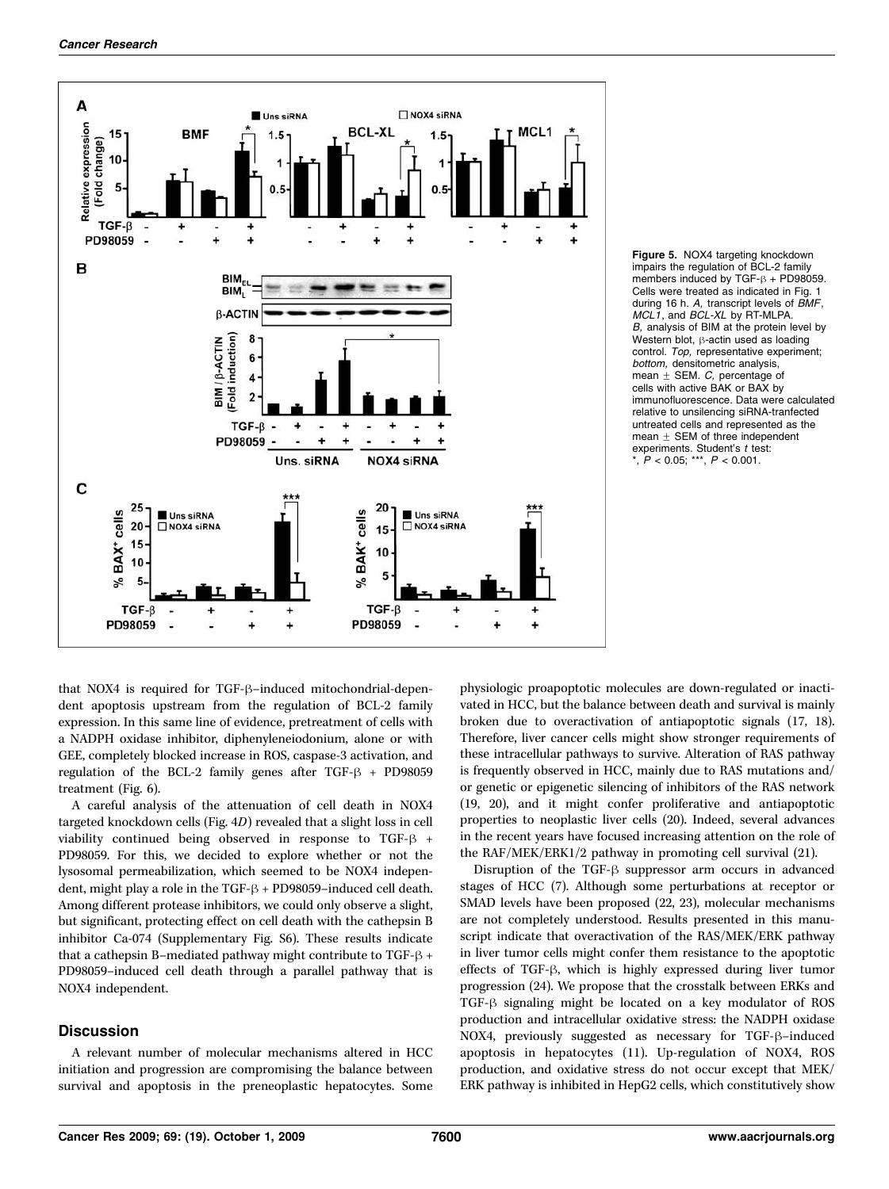



that NOX4 is required for TGF- $\beta$ –induced mitochondrial-dependent apoptosis upstream from the regulation of BCL-2 family expression. In this same line of evidence, pretreatment of cells with a NADPH oxidase inhibitor, diphenyleneiodonium, alone or with GEE, completely blocked increase in ROS, caspase-3 activation, and regulation of the BCL-2 family genes after TGF- $\beta$  + PD98059 treatment (Fig. 6).

A careful analysis of the attenuation of cell death in NOX4 targeted knockdown cells (Fig. 4D) revealed that a slight loss in cell viability continued being observed in response to TGF- $\beta$  + PD98059. For this, we decided to explore whether or not the lysosomal permeabilization, which seemed to be NOX4 independent, might play a role in the TGF- $\beta$  + PD98059–induced cell death. Among different protease inhibitors, we could only observe a slight, but significant, protecting effect on cell death with the cathepsin B inhibitor Ca-074 (Supplementary Fig. S6). These results indicate that a cathepsin B–mediated pathway might contribute to  $TGF- $\beta$  +$ PD98059–induced cell death through a parallel pathway that is NOX4 independent.

## **Discussion**

A relevant number of molecular mechanisms altered in HCC initiation and progression are compromising the balance between survival and apoptosis in the preneoplastic hepatocytes. Some

physiologic proapoptotic molecules are down-regulated or inactivated in HCC, but the balance between death and survival is mainly broken due to overactivation of antiapoptotic signals (17, 18). Therefore, liver cancer cells might show stronger requirements of these intracellular pathways to survive. Alteration of RAS pathway is frequently observed in HCC, mainly due to RAS mutations and/ or genetic or epigenetic silencing of inhibitors of the RAS network (19, 20), and it might confer proliferative and antiapoptotic properties to neoplastic liver cells (20). Indeed, several advances in the recent years have focused increasing attention on the role of the RAF/MEK/ERK1/2 pathway in promoting cell survival (21).

Disruption of the TGF- $\beta$  suppressor arm occurs in advanced stages of HCC (7). Although some perturbations at receptor or SMAD levels have been proposed (22, 23), molecular mechanisms are not completely understood. Results presented in this manuscript indicate that overactivation of the RAS/MEK/ERK pathway in liver tumor cells might confer them resistance to the apoptotic effects of TGF- $\beta$ , which is highly expressed during liver tumor progression (24). We propose that the crosstalk between ERKs and TGF-h signaling might be located on a key modulator of ROS production and intracellular oxidative stress: the NADPH oxidase NOX4, previously suggested as necessary for TGF-ß-induced apoptosis in hepatocytes (11). Up-regulation of NOX4, ROS production, and oxidative stress do not occur except that MEK/ ERK pathway is inhibited in HepG2 cells, which constitutively show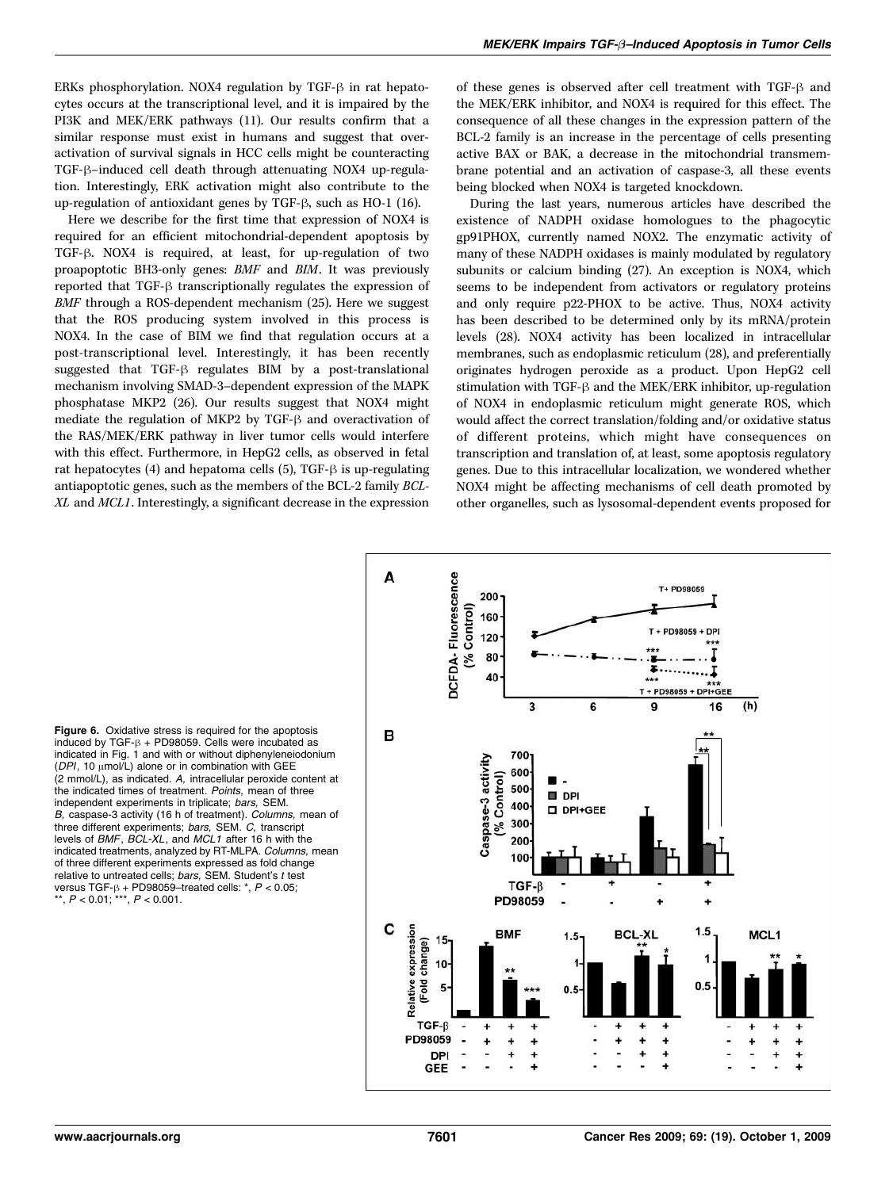ERKs phosphorylation. NOX4 regulation by TGF- $\beta$  in rat hepatocytes occurs at the transcriptional level, and it is impaired by the PI3K and MEK/ERK pathways (11). Our results confirm that a similar response must exist in humans and suggest that overactivation of survival signals in HCC cells might be counteracting TGF- $\beta$ -induced cell death through attenuating NOX4 up-regulation. Interestingly, ERK activation might also contribute to the up-regulation of antioxidant genes by TGF- $\beta$ , such as HO-1 (16).

Here we describe for the first time that expression of NOX4 is required for an efficient mitochondrial-dependent apoptosis by TGF- $\beta$ . NOX4 is required, at least, for up-regulation of two proapoptotic BH3-only genes: BMF and BIM. It was previously reported that  $TGF-\beta$  transcriptionally regulates the expression of BMF through a ROS-dependent mechanism (25). Here we suggest that the ROS producing system involved in this process is NOX4. In the case of BIM we find that regulation occurs at a post-transcriptional level. Interestingly, it has been recently suggested that TGF- $\beta$  regulates BIM by a post-translational mechanism involving SMAD-3–dependent expression of the MAPK phosphatase MKP2 (26). Our results suggest that NOX4 might mediate the regulation of MKP2 by TGF- $\beta$  and overactivation of the RAS/MEK/ERK pathway in liver tumor cells would interfere with this effect. Furthermore, in HepG2 cells, as observed in fetal rat hepatocytes  $(4)$  and hepatoma cells  $(5)$ , TGF- $\beta$  is up-regulating antiapoptotic genes, such as the members of the BCL-2 family BCL-XL and MCL1. Interestingly, a significant decrease in the expression

of these genes is observed after cell treatment with TGF- $\beta$  and the MEK/ERK inhibitor, and NOX4 is required for this effect. The consequence of all these changes in the expression pattern of the BCL-2 family is an increase in the percentage of cells presenting active BAX or BAK, a decrease in the mitochondrial transmembrane potential and an activation of caspase-3, all these events being blocked when NOX4 is targeted knockdown.

During the last years, numerous articles have described the existence of NADPH oxidase homologues to the phagocytic gp91PHOX, currently named NOX2. The enzymatic activity of many of these NADPH oxidases is mainly modulated by regulatory subunits or calcium binding (27). An exception is NOX4, which seems to be independent from activators or regulatory proteins and only require p22-PHOX to be active. Thus, NOX4 activity has been described to be determined only by its mRNA/protein levels (28). NOX4 activity has been localized in intracellular membranes, such as endoplasmic reticulum (28), and preferentially originates hydrogen peroxide as a product. Upon HepG2 cell stimulation with TGF- $\beta$  and the MEK/ERK inhibitor, up-regulation of NOX4 in endoplasmic reticulum might generate ROS, which would affect the correct translation/folding and/or oxidative status of different proteins, which might have consequences on transcription and translation of, at least, some apoptosis regulatory genes. Due to this intracellular localization, we wondered whether NOX4 might be affecting mechanisms of cell death promoted by other organelles, such as lysosomal-dependent events proposed for

Figure 6. Oxidative stress is required for the apoptosis induced by  $TGF-B + PD98059$ . Cells were incubated as indicated in Fig. 1 and with or without diphenyleneiodonium  $(DPI, 10 \mu \text{mol/L})$  alone or in combination with GEE (2 mmol/L), as indicated. A, intracellular peroxide content at the indicated times of treatment. Points, mean of three independent experiments in triplicate; bars, SEM. B, caspase-3 activity (16 h of treatment). Columns, mean of three different experiments; bars, SEM. C, transcript levels of BMF, BCL-XL, and MCL1 after 16 h with the indicated treatments, analyzed by RT-MLPA. Columns, mean of three different experiments expressed as fold change relative to untreated cells: bars, SEM. Student's t test versus TGF-β + PD98059–treated cells: \*, *P <* 0.05;<br>\*\*, *P <* 0.01; \*\*\*, *P <* 0.001.